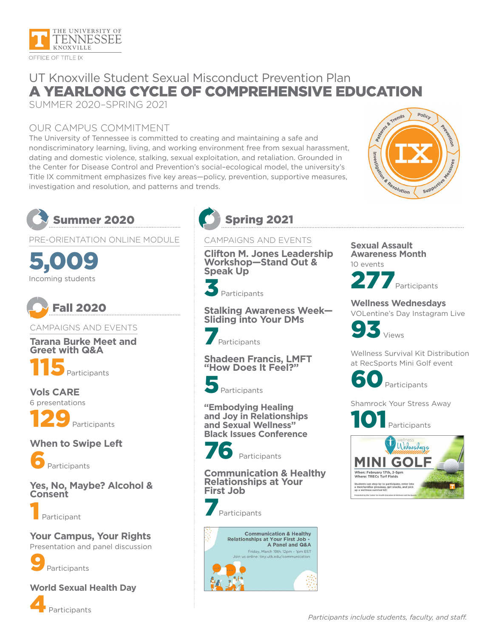

## UT Knoxville Student Sexual Misconduct Prevention Plan A YEARLONG CYCLE OF COMPREHENSIVE EDUCATION

SUMMER 2020–SPRING 2021

#### OUR CAMPUS COMMITMENT

The University of Tennessee is committed to creating and maintaining a safe and nondiscriminatory learning, living, and working environment free from sexual harassment, dating and domestic violence, stalking, sexual exploitation, and retaliation. Grounded in the Center for Disease Control and Prevention's social–ecological model, the university's Title IX commitment emphasizes five key areas—policy, prevention, supportive measures, investigation and resolution, and patterns and trends.



# Summer 2020

#### PRE-ORIENTATION ONLINE MODULE

5,009 Incoming students



CAMPAIGNS AND EVENTS

**Tarana Burke Meet and Greet with Q&A**

Participants

**Vols CARE** 6 presentations

Participants

#### **When to Swipe Left**



**Yes, No, Maybe? Alcohol & Consent**



**Your Campus, Your Rights** Presentation and panel discussion



**World Sexual Health Day**







#### CAMPAIGNS AND EVENTS

**Clifton M. Jones Leadership Workshop—Stand Out & Speak Up**



Participants

**Stalking Awareness Week— Sliding into Your DMs**



Participants

**Shadeen Francis, LMFT "How Does It Feel?"** 



**"Embodying Healing and Joy in Relationships and Sexual Wellness" Black Issues Conference**



Participants

**Communication & Healthy Relationships at Your First Job**



**Sexual Assault Awareness Month**  10 events



## **Wellness Wednesdays**

VOLentine's Day Instagram Live



Wellness Survival Kit Distribution at RecSports Mini Golf event



Shamrock Your Stress Away